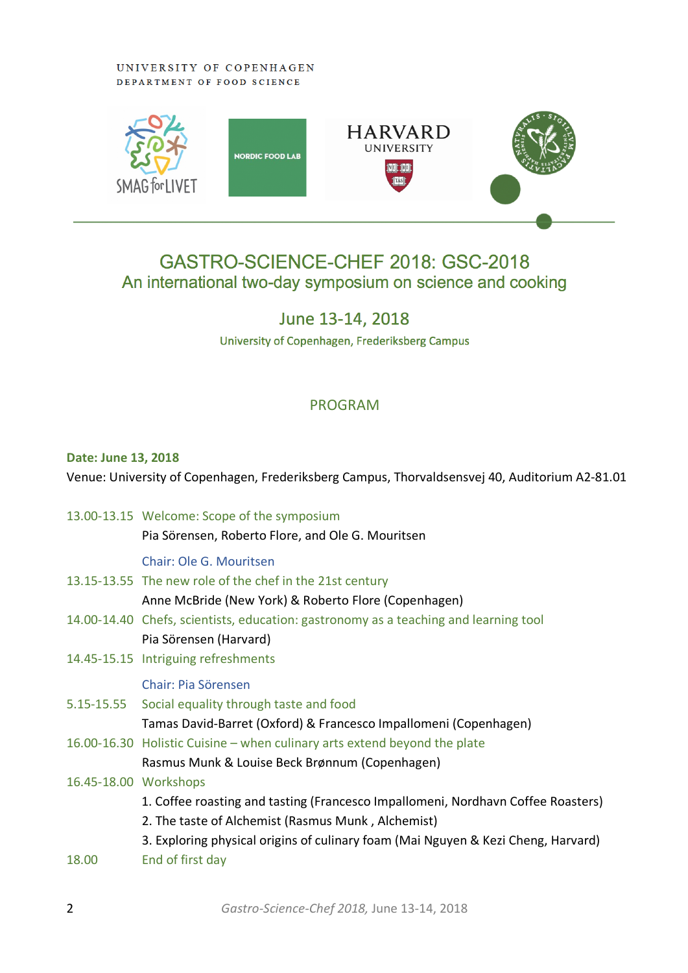#### UNIVERSITY OF COPENHAGEN DEPARTMENT OF FOOD SCIENCE



# GASTRO-SCIENCE-CHEF 2018: GSC-2018 An international two-day symposium on science and cooking

# June 13-14, 2018

University of Copenhagen, Frederiksberg Campus

## PROGRAM

#### **Date: June 13, 2018**

Venue: University of Copenhagen, Frederiksberg Campus, Thorvaldsensvej 40, Auditorium A2-81.01

13.00-13.15 Welcome: Scope of the symposium Pia Sörensen, Roberto Flore, and Ole G. Mouritsen Chair: Ole G. Mouritsen 13.15-13.55 The new role of the chef in the 21st century Anne McBride (New York) & Roberto Flore (Copenhagen) 14.00-14.40 Chefs, scientists, education: gastronomy as a teaching and learning tool Pia Sörensen (Harvard) 14.45-15.15 Intriguing refreshments Chair: Pia Sörensen 5.15-15.55 Social equality through taste and food Tamas David-Barret (Oxford) & Francesco Impallomeni (Copenhagen) 16.00-16.30 Holistic Cuisine – when culinary arts extend beyond the plate Rasmus Munk & Louise Beck Brønnum (Copenhagen) 16.45-18.00 Workshops 1. Coffee roasting and tasting (Francesco Impallomeni, Nordhavn Coffee Roasters) 2. The taste of Alchemist (Rasmus Munk , Alchemist) 3. Exploring physical origins of culinary foam (Mai Nguyen & Kezi Cheng, Harvard) 18.00 End of first day